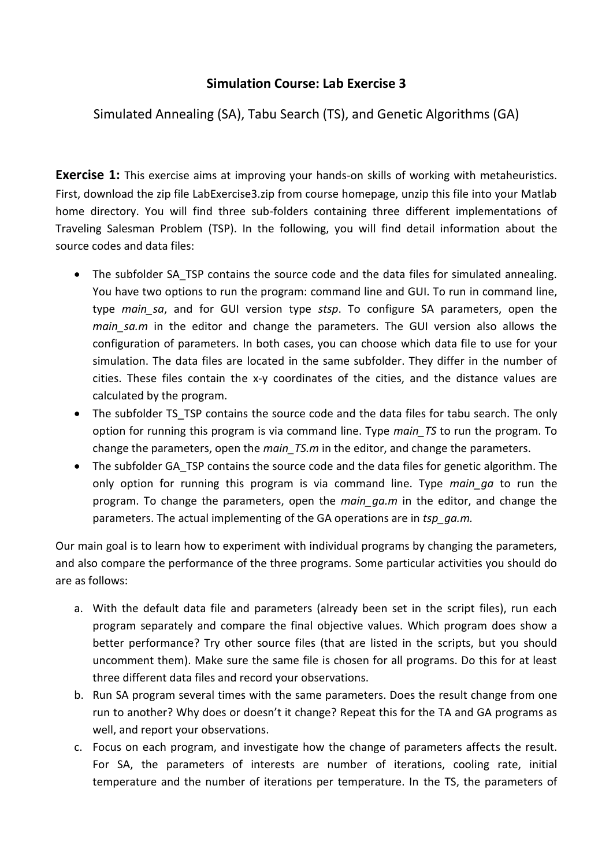## **Simulation Course: Lab Exercise 3**

## Simulated Annealing (SA), Tabu Search (TS), and Genetic Algorithms (GA)

**Exercise 1:** This exercise aims at improving your hands-on skills of working with metaheuristics. First, download the zip file LabExercise3.zip from course homepage, unzip this file into your Matlab home directory. You will find three sub-folders containing three different implementations of Traveling Salesman Problem (TSP). In the following, you will find detail information about the source codes and data files:

- The subfolder SA TSP contains the source code and the data files for simulated annealing. You have two options to run the program: command line and GUI. To run in command line, type *main\_sa*, and for GUI version type *stsp*. To configure SA parameters, open the *main sa.m* in the editor and change the parameters. The GUI version also allows the configuration of parameters. In both cases, you can choose which data file to use for your simulation. The data files are located in the same subfolder. They differ in the number of cities. These files contain the x-y coordinates of the cities, and the distance values are calculated by the program.
- The subfolder TS TSP contains the source code and the data files for tabu search. The only option for running this program is via command line. Type *main\_TS* to run the program. To change the parameters, open the *main\_TS.m* in the editor, and change the parameters.
- The subfolder GA TSP contains the source code and the data files for genetic algorithm. The only option for running this program is via command line. Type *main\_ga* to run the program. To change the parameters, open the *main\_ga.m* in the editor, and change the parameters. The actual implementing of the GA operations are in *tsp\_ga.m.*

Our main goal is to learn how to experiment with individual programs by changing the parameters, and also compare the performance of the three programs. Some particular activities you should do are as follows:

- a. With the default data file and parameters (already been set in the script files), run each program separately and compare the final objective values. Which program does show a better performance? Try other source files (that are listed in the scripts, but you should uncomment them). Make sure the same file is chosen for all programs. Do this for at least three different data files and record your observations.
- b. Run SA program several times with the same parameters. Does the result change from one run to another? Why does or doesn't it change? Repeat this for the TA and GA programs as well, and report your observations.
- c. Focus on each program, and investigate how the change of parameters affects the result. For SA, the parameters of interests are number of iterations, cooling rate, initial temperature and the number of iterations per temperature. In the TS, the parameters of